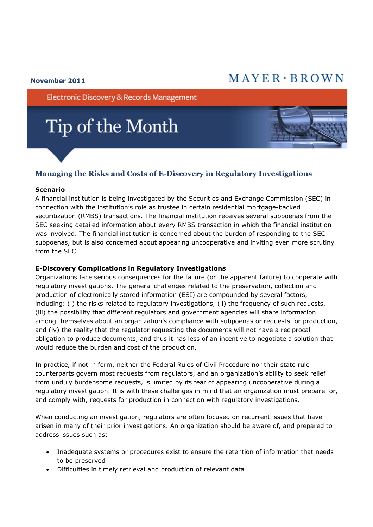## $MAYER*BROMN$

#### **November 2011**

Electronic Discovery & Records Management

# Tip of the Month

### **Managing the Risks and Costs of E-Discovery in Regulatory Investigations**

#### **Scenario**

A financial institution is being investigated by the Securities and Exchange Commission (SEC) in connection with the institution's role as trustee in certain residential mortgage-backed securitization (RMBS) transactions. The financial institution receives several subpoenas from the SEC seeking detailed information about every RMBS transaction in which the financial institution was involved. The financial institution is concerned about the burden of responding to the SEC subpoenas, but is also concerned about appearing uncooperative and inviting even more scrutiny from the SEC.

#### **E-Discovery Complications in Regulatory Investigations**

Organizations face serious consequences for the failure (or the apparent failure) to cooperate with regulatory investigations. The general challenges related to the preservation, collection and production of electronically stored information (ESI) are compounded by several factors, including: (i) the risks related to regulatory investigations, (ii) the frequency of such requests, (iii) the possibility that different regulators and government agencies will share information among themselves about an organization's compliance with subpoenas or requests for production, and (iv) the reality that the regulator requesting the documents will not have a reciprocal obligation to produce documents, and thus it has less of an incentive to negotiate a solution that would reduce the burden and cost of the production.

In practice, if not in form, neither the Federal Rules of Civil Procedure nor their state rule counterparts govern most requests from regulators, and an organization's ability to seek relief from unduly burdensome requests, is limited by its fear of appearing uncooperative during a regulatory investigation. It is with these challenges in mind that an organization must prepare for, and comply with, requests for production in connection with regulatory investigations.

When conducting an investigation, regulators are often focused on recurrent issues that have arisen in many of their prior investigations. An organization should be aware of, and prepared to address issues such as:

- Inadequate systems or procedures exist to ensure the retention of information that needs to be preserved
- Difficulties in timely retrieval and production of relevant data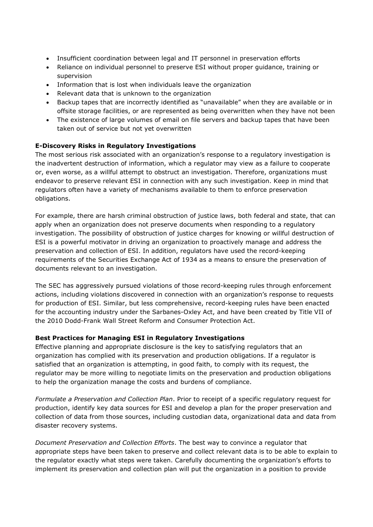- Insufficient coordination between legal and IT personnel in preservation efforts
- Reliance on individual personnel to preserve ESI without proper guidance, training or supervision
- Information that is lost when individuals leave the organization
- Relevant data that is unknown to the organization
- Backup tapes that are incorrectly identified as "unavailable" when they are available or in offsite storage facilities, or are represented as being overwritten when they have not been
- The existence of large volumes of email on file servers and backup tapes that have been taken out of service but not yet overwritten

#### **E-Discovery Risks in Regulatory Investigations**

The most serious risk associated with an organization's response to a regulatory investigation is the inadvertent destruction of information, which a regulator may view as a failure to cooperate or, even worse, as a willful attempt to obstruct an investigation. Therefore, organizations must endeavor to preserve relevant ESI in connection with any such investigation. Keep in mind that regulators often have a variety of mechanisms available to them to enforce preservation obligations.

For example, there are harsh criminal obstruction of justice laws, both federal and state, that can apply when an organization does not preserve documents when responding to a regulatory investigation. The possibility of obstruction of justice charges for knowing or willful destruction of ESI is a powerful motivator in driving an organization to proactively manage and address the preservation and collection of ESI. In addition, regulators have used the record-keeping requirements of the Securities Exchange Act of 1934 as a means to ensure the preservation of documents relevant to an investigation.

The SEC has aggressively pursued violations of those record-keeping rules through enforcement actions, including violations discovered in connection with an organization's response to requests for production of ESI. Similar, but less comprehensive, record-keeping rules have been enacted for the accounting industry under the Sarbanes-Oxley Act, and have been created by Title VII of the 2010 Dodd-Frank Wall Street Reform and Consumer Protection Act.

#### **Best Practices for Managing ESI in Regulatory Investigations**

Effective planning and appropriate disclosure is the key to satisfying regulators that an organization has complied with its preservation and production obligations. If a regulator is satisfied that an organization is attempting, in good faith, to comply with its request, the regulator may be more willing to negotiate limits on the preservation and production obligations to help the organization manage the costs and burdens of compliance.

*Formulate a Preservation and Collection Plan*. Prior to receipt of a specific regulatory request for production, identify key data sources for ESI and develop a plan for the proper preservation and collection of data from those sources, including custodian data, organizational data and data from disaster recovery systems.

*Document Preservation and Collection Efforts*. The best way to convince a regulator that appropriate steps have been taken to preserve and collect relevant data is to be able to explain to the regulator exactly what steps were taken. Carefully documenting the organization's efforts to implement its preservation and collection plan will put the organization in a position to provide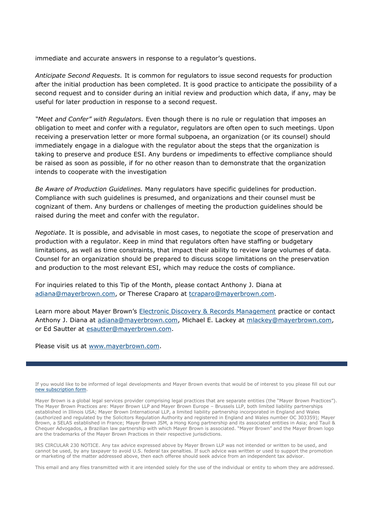immediate and accurate answers in response to a regulator's questions.

*Anticipate Second Requests.* It is common for regulators to issue second requests for production after the initial production has been completed. It is good practice to anticipate the possibility of a second request and to consider during an initial review and production which data, if any, may be useful for later production in response to a second request.

*"Meet and Confer" with Regulators.* Even though there is no rule or regulation that imposes an obligation to meet and confer with a regulator, regulators are often open to such meetings. Upon receiving a preservation letter or more formal subpoena, an organization (or its counsel) should immediately engage in a dialogue with the regulator about the steps that the organization is taking to preserve and produce ESI. Any burdens or impediments to effective compliance should be raised as soon as possible, if for no other reason than to demonstrate that the organization intends to cooperate with the investigation

*Be Aware of Production Guidelines.* Many regulators have specific guidelines for production. Compliance with such guidelines is presumed, and organizations and their counsel must be cognizant of them. Any burdens or challenges of meeting the production guidelines should be raised during the meet and confer with the regulator.

*Negotiate*. It is possible, and advisable in most cases, to negotiate the scope of preservation and production with a regulator. Keep in mind that regulators often have staffing or budgetary limitations, as well as time constraints, that impact their ability to review large volumes of data. Counsel for an organization should be prepared to discuss scope limitations on the preservation and production to the most relevant ESI, which may reduce the costs of compliance.

For inquiries related to this Tip of the Month, please contact Anthony J. Diana at adiana@mayerbrown.com, or Therese Craparo at tcraparo@mayerbrown.com.

Learn more about Mayer Brown's [Electronic Discovery & Records Management](http://www.mayerbrown.com/electronicdiscovery/) practice or contact Anthony J. Diana at adiana@mayerbrown.com, Michael E. Lackey at mlackey@mayerbrown.com, or Ed Sautter at esautter@mayerbrown.com.

Please visit us at www.mayerbrown.com.

If you would like to be informed of legal developments and Mayer Brown events that would be of interest to you please fill out our [new subscription form.](http://reaction.mayerbrown.com/reaction/RSGenPage.asp?RSID=8C8409EDCBE91F81C32E1B3CC3190DA3AF423917A59B66420)

Mayer Brown is a global legal services provider comprising legal practices that are separate entities (the "Mayer Brown Practices"). The Mayer Brown Practices are: Mayer Brown LLP and Mayer Brown Europe – Brussels LLP, both limited liability partnerships established in Illinois USA; Mayer Brown International LLP, a limited liability partnership incorporated in England and Wales (authorized and regulated by the Solicitors Regulation Authority and registered in England and Wales number OC 303359); Mayer Brown, a SELAS established in France; Mayer Brown JSM, a Hong Kong partnership and its associated entities in Asia; and Tauil & Chequer Advogados, a Brazilian law partnership with which Mayer Brown is associated. "Mayer Brown" and the Mayer Brown logo are the trademarks of the Mayer Brown Practices in their respective jurisdictions.

IRS CIRCULAR 230 NOTICE. Any tax advice expressed above by Mayer Brown LLP was not intended or written to be used, and cannot be used, by any taxpayer to avoid U.S. federal tax penalties. If such advice was written or used to support the promotion or marketing of the matter addressed above, then each offeree should seek advice from an independent tax advisor.

This email and any files transmitted with it are intended solely for the use of the individual or entity to whom they are addressed.